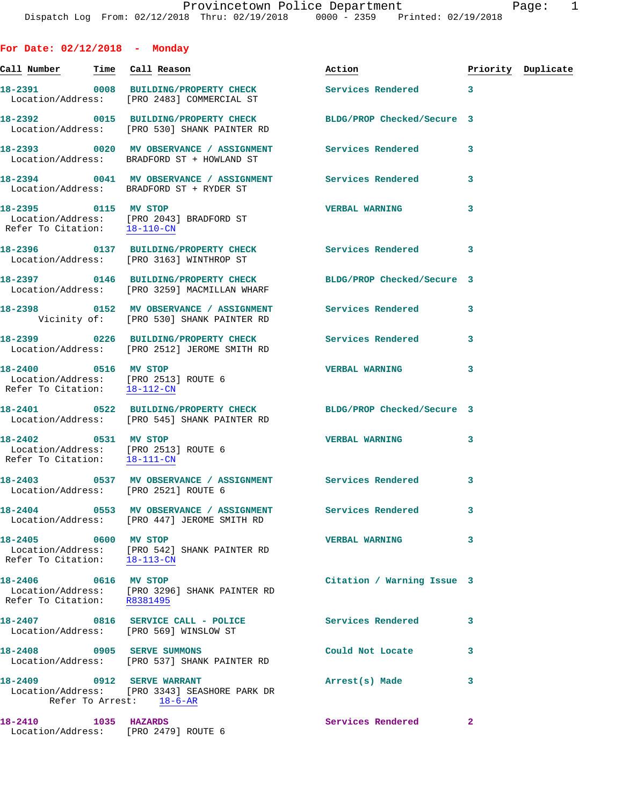| For Date: $02/12/2018$ - Monday                                                              |                                                                                                                 |                            |              |                    |
|----------------------------------------------------------------------------------------------|-----------------------------------------------------------------------------------------------------------------|----------------------------|--------------|--------------------|
| <u>Call Number — Time Call Reason</u>                                                        |                                                                                                                 | Action                     |              | Priority Duplicate |
|                                                                                              | 18-2391 0008 BUILDING/PROPERTY CHECK<br>Location/Address: [PRO 2483] COMMERCIAL ST                              | Services Rendered 3        |              |                    |
|                                                                                              | 18-2392 0015 BUILDING/PROPERTY CHECK BLDG/PROP Checked/Secure 3<br>Location/Address: [PRO 530] SHANK PAINTER RD |                            |              |                    |
|                                                                                              | 18-2393 0020 MV OBSERVANCE / ASSIGNMENT Services Rendered 3<br>Location/Address: BRADFORD ST + HOWLAND ST       |                            |              |                    |
|                                                                                              | 18-2394 0041 MV OBSERVANCE / ASSIGNMENT Services Rendered<br>Location/Address: BRADFORD ST + RYDER ST           |                            | 3            |                    |
| 18-2395 0115 MV STOP                                                                         | Location/Address: [PRO 2043] BRADFORD ST<br>Refer To Citation: 18-110-CN                                        | <b>VERBAL WARNING</b>      | 3            |                    |
|                                                                                              | 18-2396 0137 BUILDING/PROPERTY CHECK<br>Location/Address: [PRO 3163] WINTHROP ST                                | Services Rendered          | 3            |                    |
|                                                                                              | 18-2397 0146 BUILDING/PROPERTY CHECK<br>Location/Address: [PRO 3259] MACMILLAN WHARF                            | BLDG/PROP Checked/Secure 3 |              |                    |
|                                                                                              | 18-2398   0152 MV OBSERVANCE / ASSIGNMENT   Services Rendered<br>Vicinity of: [PRO 530] SHANK PAINTER RD        |                            | 3            |                    |
|                                                                                              | 18-2399 0226 BUILDING/PROPERTY CHECK Services Rendered<br>Location/Address: [PRO 2512] JEROME SMITH RD          |                            | 3            |                    |
| 18-2400 0516 MV STOP<br>Location/Address: [PRO 2513] ROUTE 6<br>Refer To Citation: 18-112-CN |                                                                                                                 | <b>VERBAL WARNING</b>      | 3            |                    |
|                                                                                              | 18-2401 0522 BUILDING/PROPERTY CHECK BLDG/PROP Checked/Secure 3<br>Location/Address: [PRO 545] SHANK PAINTER RD |                            |              |                    |
| 18-2402 0531 MV STOP<br>Location/Address: [PRO 2513] ROUTE 6<br>Refer To Citation: 18-111-CN |                                                                                                                 | <b>VERBAL WARNING</b>      | 3            |                    |
| Location/Address: [PRO 2521] ROUTE 6                                                         | 18-2403 0537 MV OBSERVANCE / ASSIGNMENT Services Rendered 3                                                     |                            |              |                    |
|                                                                                              | 18-2404 0553 MV OBSERVANCE / ASSIGNMENT Services Rendered<br>Location/Address: [PRO 447] JEROME SMITH RD        |                            | 3            |                    |
| 18-2405 0600 MV STOP                                                                         | Location/Address: [PRO 542] SHANK PAINTER RD<br>Refer To Citation: 18-113-CN                                    | <b>VERBAL WARNING</b>      | 3            |                    |
| 18-2406 0616 MV STOP                                                                         | Location/Address: [PRO 3296] SHANK PAINTER RD<br>Refer To Citation: R8381495                                    | Citation / Warning Issue 3 |              |                    |
|                                                                                              | 18-2407 0816 SERVICE CALL - POLICE<br>Location/Address: [PRO 569] WINSLOW ST                                    | Services Rendered          | 3            |                    |
| 18-2408 0905 SERVE SUMMONS                                                                   | Location/Address: [PRO 537] SHANK PAINTER RD                                                                    | Could Not Locate           | 3            |                    |
|                                                                                              | 18-2409 0912 SERVE WARRANT<br>Location/Address: [PRO 3343] SEASHORE PARK DR<br>Refer To Arrest: 18-6-AR         | Arrest(s) Made             | 3            |                    |
| 18-2410 1035 HAZARDS<br>Location/Address: [PRO 2479] ROUTE 6                                 |                                                                                                                 | Services Rendered          | $\mathbf{2}$ |                    |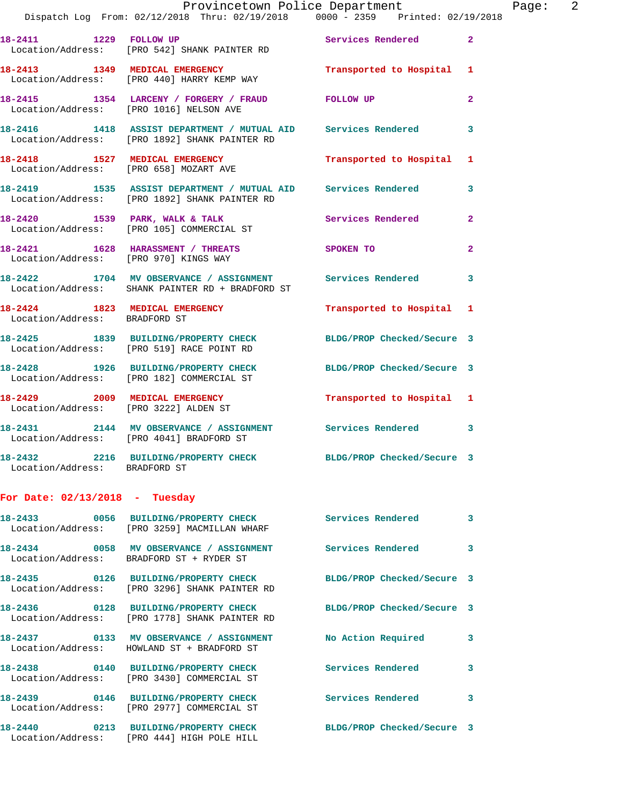|                                  | Provincetown Police Department<br>Dispatch Log From: 02/12/2018 Thru: 02/19/2018 0000 - 2359 Printed: 02/19/2018 |                            |                |
|----------------------------------|------------------------------------------------------------------------------------------------------------------|----------------------------|----------------|
|                                  | 18-2411 1229 FOLLOW UP<br>Location/Address: [PRO 542] SHANK PAINTER RD                                           | Services Rendered          | $\mathbf{2}$   |
|                                  | 18-2413 1349 MEDICAL EMERGENCY<br>Location/Address: [PRO 440] HARRY KEMP WAY                                     | Transported to Hospital    | 1              |
|                                  | 18-2415 1354 LARCENY / FORGERY / FRAUD FOLLOW UP<br>Location/Address: [PRO 1016] NELSON AVE                      |                            | $\overline{a}$ |
|                                  | 18-2416 1418 ASSIST DEPARTMENT / MUTUAL AID Services Rendered<br>Location/Address: [PRO 1892] SHANK PAINTER RD   |                            | 3              |
|                                  | 18-2418 1527 MEDICAL EMERGENCY<br>Location/Address: [PRO 658] MOZART AVE                                         | Transported to Hospital    | 1              |
|                                  | 18-2419 1535 ASSIST DEPARTMENT / MUTUAL AID Services Rendered<br>Location/Address: [PRO 1892] SHANK PAINTER RD   |                            | 3              |
|                                  | 18-2420 1539 PARK, WALK & TALK<br>Location/Address: [PRO 105] COMMERCIAL ST                                      | Services Rendered          | $\overline{a}$ |
|                                  | 18-2421 1628 HARASSMENT / THREATS SPOKEN TO<br>Location/Address: [PRO 970] KINGS WAY                             |                            | $\overline{2}$ |
|                                  | 18-2422 1704 MV OBSERVANCE / ASSIGNMENT Services Rendered<br>Location/Address: SHANK PAINTER RD + BRADFORD ST    |                            | 3              |
| Location/Address: BRADFORD ST    | 18-2424 1823 MEDICAL EMERGENCY                                                                                   | Transported to Hospital    | 1              |
|                                  | 18-2425 1839 BUILDING/PROPERTY CHECK<br>Location/Address: [PRO 519] RACE POINT RD                                | BLDG/PROP Checked/Secure 3 |                |
|                                  | 18-2428 1926 BUILDING/PROPERTY CHECK<br>Location/Address: [PRO 182] COMMERCIAL ST                                | BLDG/PROP Checked/Secure 3 |                |
|                                  | 18-2429 2009 MEDICAL EMERGENCY<br>Location/Address: [PRO 3222] ALDEN ST                                          | Transported to Hospital 1  |                |
|                                  | 18-2431 2144 MV OBSERVANCE / ASSIGNMENT Services Rendered<br>Location/Address: [PRO 4041] BRADFORD ST            |                            | 3              |
| Location/Address: BRADFORD ST    | 18-2432 2216 BUILDING/PROPERTY CHECK BLDG/PROP Checked/Secure 3                                                  |                            |                |
| For Date: $02/13/2018$ - Tuesday |                                                                                                                  |                            |                |
|                                  | 18-2433 0056 BUILDING/PROPERTY CHECK<br>Location/Address: [PRO 3259] MACMILLAN WHARF                             | <b>Services Rendered</b>   | 3              |
|                                  | 18-2434 0058 MV OBSERVANCE / ASSIGNMENT Services Rendered<br>Location/Address: BRADFORD ST + RYDER ST            |                            | 3              |
|                                  | 18-2435 0126 BUILDING/PROPERTY CHECK<br>Location/Address: [PRO 3296] SHANK PAINTER RD                            | BLDG/PROP Checked/Secure 3 |                |
|                                  | 18-2436 0128 BUILDING/PROPERTY CHECK<br>Location/Address: [PRO 1778] SHANK PAINTER RD                            | BLDG/PROP Checked/Secure 3 |                |
|                                  | 18-2437 0133 MV OBSERVANCE / ASSIGNMENT<br>Location/Address: HOWLAND ST + BRADFORD ST                            | No Action Required         | 3              |
|                                  | 18-2438 0140 BUILDING/PROPERTY CHECK<br>Location/Address: [PRO 3430] COMMERCIAL ST                               | Services Rendered          | 3              |
|                                  | 18-2439 0146 BUILDING/PROPERTY CHECK<br>Location/Address: [PRO 2977] COMMERCIAL ST                               | Services Rendered          | 3              |
|                                  | 18-2440 0213 BUILDING/PROPERTY CHECK                                                                             | BLDG/PROP Checked/Secure 3 |                |

Location/Address: [PRO 444] HIGH POLE HILL

 $Page: 2$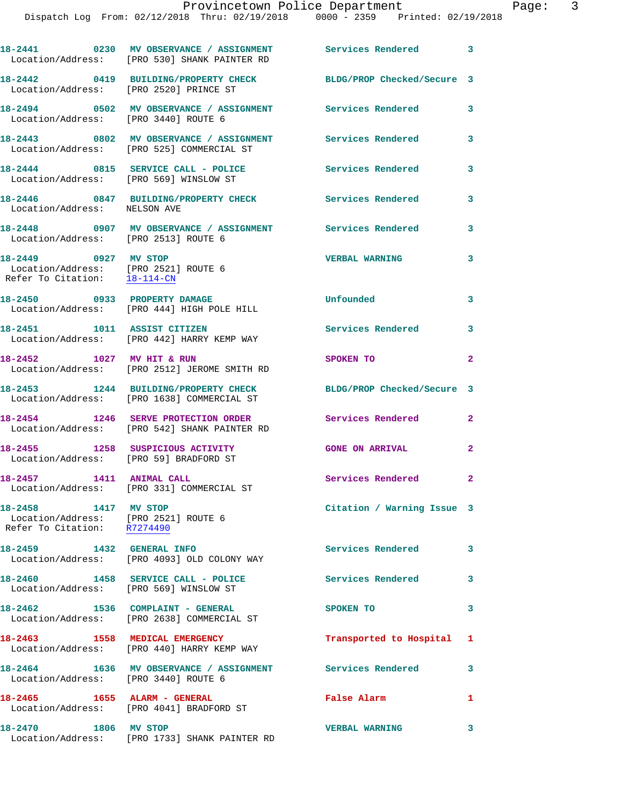|                                                                                              | 18-2441 0230 MV OBSERVANCE / ASSIGNMENT Services Rendered 3<br>Location/Address: [PRO 530] SHANK PAINTER RD |                             |                         |
|----------------------------------------------------------------------------------------------|-------------------------------------------------------------------------------------------------------------|-----------------------------|-------------------------|
| Location/Address: [PRO 2520] PRINCE ST                                                       | 18-2442 0419 BUILDING/PROPERTY CHECK                                                                        | BLDG/PROP Checked/Secure 3  |                         |
| Location/Address: [PRO 3440] ROUTE 6                                                         | 18-2494 0502 MV OBSERVANCE / ASSIGNMENT Services Rendered                                                   |                             | $\overline{\mathbf{3}}$ |
|                                                                                              | 18-2443 0802 MV OBSERVANCE / ASSIGNMENT<br>Location/Address: [PRO 525] COMMERCIAL ST                        | <b>Services Rendered</b>    | $\mathbf{3}$            |
| Location/Address: [PRO 569] WINSLOW ST                                                       | 18-2444 0815 SERVICE CALL - POLICE                                                                          | <b>Services Rendered</b>    | 3                       |
| Location/Address: NELSON AVE                                                                 | 18-2446 0847 BUILDING/PROPERTY CHECK Services Rendered                                                      |                             | 3                       |
| Location/Address: [PRO 2513] ROUTE 6                                                         | 18-2448 0907 MV OBSERVANCE / ASSIGNMENT Services Rendered                                                   |                             | 3                       |
| 18-2449 0927 MV STOP<br>Location/Address: [PRO 2521] ROUTE 6<br>Refer To Citation: 18-114-CN |                                                                                                             | <b>VERBAL WARNING</b>       | 3                       |
|                                                                                              | 18-2450 0933 PROPERTY DAMAGE<br>Location/Address: [PRO 444] HIGH POLE HILL                                  | Unfounded                   | 3                       |
| 18-2451 1011 ASSIST CITIZEN                                                                  | Location/Address: [PRO 442] HARRY KEMP WAY                                                                  | <b>Services Rendered</b>    | 3                       |
| 18-2452 1027 MV HIT & RUN                                                                    | Location/Address: [PRO 2512] JEROME SMITH RD                                                                | SPOKEN TO                   | $\overline{a}$          |
|                                                                                              | 18-2453 1244 BUILDING/PROPERTY CHECK<br>Location/Address: [PRO 1638] COMMERCIAL ST                          | BLDG/PROP Checked/Secure 3  |                         |
|                                                                                              | 18-2454 1246 SERVE PROTECTION ORDER<br>Location/Address: [PRO 542] SHANK PAINTER RD                         | <b>Services Rendered</b>    | $\mathbf{2}$            |
| 18-2455 1258 SUSPICIOUS ACTIVITY<br>Location/Address: [PRO 59] BRADFORD ST                   |                                                                                                             | <b>GONE ON ARRIVAL</b>      | $\mathbf{2}$            |
| 1411 ANIMAL CALL<br>18-2457                                                                  | Location/Address: [PRO 331] COMMERCIAL ST                                                                   | <b>Services Rendered 22</b> |                         |
| 18-2458 1417 MV STOP<br>Location/Address: [PRO 2521] ROUTE 6<br>Refer To Citation: R7274490  |                                                                                                             | Citation / Warning Issue 3  |                         |
|                                                                                              | Location/Address: [PRO 4093] OLD COLONY WAY                                                                 | <b>Services Rendered</b>    | $\mathbf{3}$            |
| Location/Address: [PRO 569] WINSLOW ST                                                       | 18-2460 1458 SERVICE CALL - POLICE                                                                          | Services Rendered 3         |                         |
|                                                                                              | 18-2462 1536 COMPLAINT - GENERAL<br>Location/Address: [PRO 2638] COMMERCIAL ST                              | SPOKEN TO                   | 3                       |
|                                                                                              | 18-2463 1558 MEDICAL EMERGENCY<br>Location/Address: [PRO 440] HARRY KEMP WAY                                | Transported to Hospital 1   |                         |
| Location/Address: [PRO 3440] ROUTE 6                                                         | 18-2464 1636 MV OBSERVANCE / ASSIGNMENT Services Rendered                                                   |                             | $\mathbf{3}$            |
|                                                                                              | 18-2465 1655 ALARM - GENERAL<br>Location/Address: [PRO 4041] BRADFORD ST                                    | False Alarm                 | 1                       |
| 18-2470 1806 MV STOP                                                                         | Location/Address: [PRO 1733] SHANK PAINTER RD                                                               | <b>VERBAL WARNING</b>       | $\mathbf{3}$            |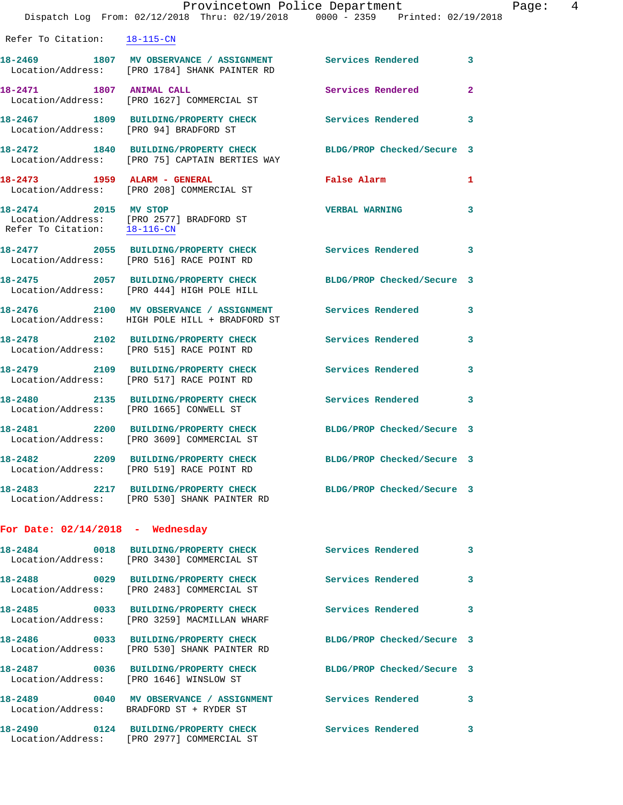|                                         | Dispatch Log From: 02/12/2018 Thru: 02/19/2018 0000 - 2359 Printed: 02/19/2018                                    | Provincetown Police Department | Page: 4        |
|-----------------------------------------|-------------------------------------------------------------------------------------------------------------------|--------------------------------|----------------|
| Refer To Citation: 18-115-CN            |                                                                                                                   |                                |                |
|                                         | 18-2469 1807 MV OBSERVANCE / ASSIGNMENT Services Rendered 3<br>Location/Address: [PRO 1784] SHANK PAINTER RD      |                                |                |
|                                         | 18-2471 1807 ANIMAL CALL<br>Location/Address: [PRO 1627] COMMERCIAL ST                                            | Services Rendered              | $\overline{2}$ |
| Location/Address: [PRO 94] BRADFORD ST  | 18-2467 1809 BUILDING/PROPERTY CHECK Services Rendered 3                                                          |                                |                |
|                                         | 18-2472 1840 BUILDING/PROPERTY CHECK BLDG/PROP Checked/Secure 3<br>Location/Address: [PRO 75] CAPTAIN BERTIES WAY |                                |                |
| 18-2473 1959 ALARM - GENERAL            | Location/Address: [PRO 208] COMMERCIAL ST                                                                         | False Alarm <b>Example 2</b>   | 1              |
|                                         | 18-2474 2015 MV STOP<br>Location/Address: [PRO 2577] BRADFORD ST<br>Refer To Citation: 18-116-CN                  | <b>VERBAL WARNING</b>          | 3              |
|                                         | 18-2477 2055 BUILDING/PROPERTY CHECK Services Rendered<br>Location/Address: [PRO 516] RACE POINT RD               |                                | 3              |
|                                         | 18-2475 2057 BUILDING/PROPERTY CHECK BLDG/PROP Checked/Secure 3<br>Location/Address: [PRO 444] HIGH POLE HILL     |                                |                |
|                                         | 18-2476 2100 MV OBSERVANCE / ASSIGNMENT Services Rendered<br>Location/Address: HIGH POLE HILL + BRADFORD ST       |                                | $\mathbf{3}$   |
|                                         | 18-2478 2102 BUILDING/PROPERTY CHECK Services Rendered 3<br>Location/Address: [PRO 515] RACE POINT RD             |                                |                |
|                                         | 18-2479 2109 BUILDING/PROPERTY CHECK Services Rendered<br>Location/Address: [PRO 517] RACE POINT RD               |                                | 3              |
| Location/Address: [PRO 1665] CONWELL ST | 18-2480 2135 BUILDING/PROPERTY CHECK Services Rendered 3                                                          |                                |                |
|                                         | 18-2481 2200 BUILDING/PROPERTY CHECK BLDG/PROP Checked/Secure 3<br>Location/Address: [PRO 3609] COMMERCIAL ST     |                                |                |
|                                         | 18-2482 2209 BUILDING/PROPERTY CHECK<br>Location/Address: [PRO 519] RACE POINT RD                                 | BLDG/PROP Checked/Secure 3     |                |
|                                         | 18-2483 2217 BUILDING/PROPERTY CHECK BLDG/PROP Checked/Secure 3<br>Location/Address: [PRO 530] SHANK PAINTER RD   |                                |                |
| For Date: $02/14/2018$ - Wednesday      |                                                                                                                   |                                |                |
|                                         | 18-2484 0018 BUILDING/PROPERTY CHECK Services Rendered 3<br>Location/Address: [PRO 3430] COMMERCIAL ST            |                                |                |
|                                         | 18-2488 0029 BUILDING/PROPERTY CHECK Services Rendered 3<br>Location/Address: [PRO 2483] COMMERCIAL ST            |                                |                |
|                                         | 18-2485 		 0033 BUILDING/PROPERTY CHECK 		 Services Rendered<br>Location/Address: [PRO 3259] MACMILLAN WHARF      |                                | 3              |
|                                         | 18-2486 0033 BUILDING/PROPERTY CHECK BLDG/PROP Checked/Secure 3<br>Location/Address: [PRO 530] SHANK PAINTER RD   |                                |                |
|                                         | 18-2487 0036 BUILDING/PROPERTY CHECK BLDG/PROP Checked/Secure 3<br>Location/Address: [PRO 1646] WINSLOW ST        |                                |                |
|                                         | 18-2489 		 0040 MV OBSERVANCE / ASSIGNMENT Services Rendered 3<br>Location/Address: BRADFORD ST + RYDER ST        |                                |                |
|                                         | 18-2490 0124 BUILDING/PROPERTY CHECK Services Rendered<br>Location/Address: [PRO 2977] COMMERCIAL ST              |                                | 3              |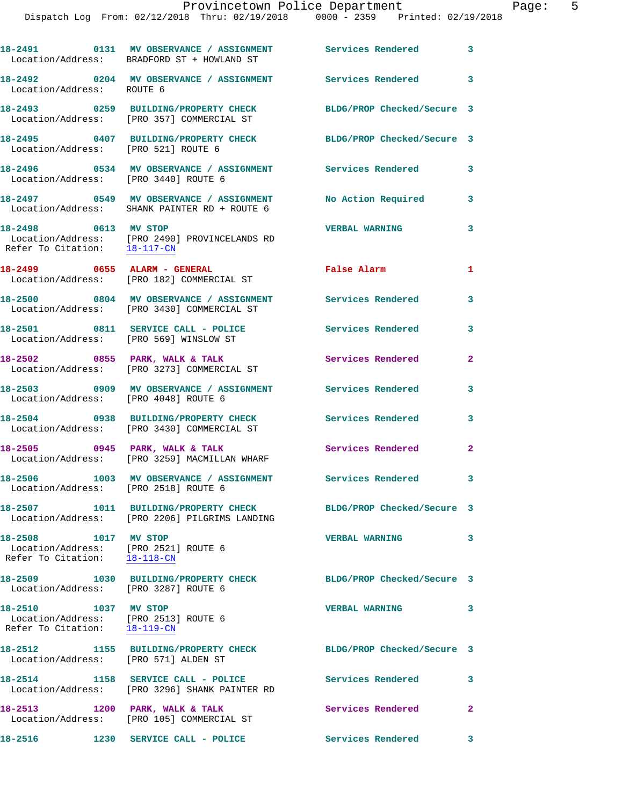|                                                      | 18-2491 0131 MV OBSERVANCE / ASSIGNMENT Services Rendered 3<br>Location/Address: BRADFORD ST + HOWLAND ST        |                            |                         |
|------------------------------------------------------|------------------------------------------------------------------------------------------------------------------|----------------------------|-------------------------|
| Location/Address: ROUTE 6                            | 18-2492 		 0204 MV OBSERVANCE / ASSIGNMENT Services Rendered                                                     |                            | 3                       |
|                                                      | 18-2493 0259 BUILDING/PROPERTY CHECK<br>Location/Address: [PRO 357] COMMERCIAL ST                                | BLDG/PROP Checked/Secure 3 |                         |
|                                                      | 18-2495 0407 BUILDING/PROPERTY CHECK<br>Location/Address: [PRO 521] ROUTE 6                                      | BLDG/PROP Checked/Secure 3 |                         |
|                                                      | Location/Address: [PRO 3440] ROUTE 6                                                                             |                            | 3                       |
|                                                      | 18-2497 0549 MV OBSERVANCE / ASSIGNMENT<br>Location/Address: SHANK PAINTER RD + ROUTE 6                          | No Action Required         | 3                       |
| 18-2498 0613 MV STOP<br>Refer To Citation: 18-117-CN | Location/Address: [PRO 2490] PROVINCELANDS RD                                                                    | <b>VERBAL WARNING</b>      | 3                       |
|                                                      | 18-2499 0655 ALARM - GENERAL<br>Location/Address: [PRO 182] COMMERCIAL ST                                        | False Alarm                | $\mathbf{1}$            |
|                                                      | 18-2500 0804 MV OBSERVANCE / ASSIGNMENT Services Rendered<br>Location/Address: [PRO 3430] COMMERCIAL ST          |                            | 3                       |
|                                                      | 18-2501 0811 SERVICE CALL - POLICE<br>Location/Address: [PRO 569] WINSLOW ST                                     | Services Rendered          | $\mathbf{3}$            |
|                                                      | 18-2502 0855 PARK, WALK & TALK<br>Location/Address: [PRO 3273] COMMERCIAL ST                                     | Services Rendered          | $\mathbf{2}$            |
|                                                      | 18-2503 0909 MV OBSERVANCE / ASSIGNMENT Services Rendered<br>Location/Address: [PRO 4048] ROUTE 6                |                            | 3                       |
|                                                      | 18-2504 0938 BUILDING/PROPERTY CHECK<br>Location/Address: [PRO 3430] COMMERCIAL ST                               | <b>Services Rendered</b>   | 3                       |
|                                                      | $18-2505$ 0945 PARK, WALK & TALK<br>Location/Address: [PRO 3259] MACMILLAN WHARF                                 | Services Rendered          | $\mathbf{2}$            |
|                                                      | 18-2506 1003 MV OBSERVANCE / ASSIGNMENT Services Rendered<br>Location/Address: [PRO 2518] ROUTE 6                |                            | $\overline{\mathbf{3}}$ |
|                                                      | 18-2507 1011 BUILDING/PROPERTY CHECK BLDG/PROP Checked/Secure 3<br>Location/Address: [PRO 2206] PILGRIMS LANDING |                            |                         |
| 18-2508 1017 MV STOP                                 | Location/Address: [PRO 2521] ROUTE 6<br>Refer To Citation: $\frac{18-118-CN}{\ }$                                | <b>VERBAL WARNING</b>      | 3                       |
|                                                      | 18-2509 1030 BUILDING/PROPERTY CHECK BLDG/PROP Checked/Secure 3<br>Location/Address: [PRO 3287] ROUTE 6          |                            |                         |
| Refer To Citation: 18-119-CN                         | 18-2510 1037 MV STOP<br>Location/Address: [PRO 2513] ROUTE 6                                                     | <b>VERBAL WARNING</b>      | 3                       |
|                                                      | 18-2512 1155 BUILDING/PROPERTY CHECK<br>Location/Address: [PRO 571] ALDEN ST                                     | BLDG/PROP Checked/Secure 3 |                         |
|                                                      | 18-2514 1158 SERVICE CALL - POLICE<br>Location/Address: [PRO 3296] SHANK PAINTER RD                              | Services Rendered          | $\overline{\mathbf{3}}$ |
|                                                      | 18-2513 1200 PARK, WALK & TALK<br>Location/Address: [PRO 105] COMMERCIAL ST                                      | Services Rendered          | $\mathbf{2}$            |
|                                                      | 18-2516 1230 SERVICE CALL - POLICE                                                                               | Services Rendered 3        |                         |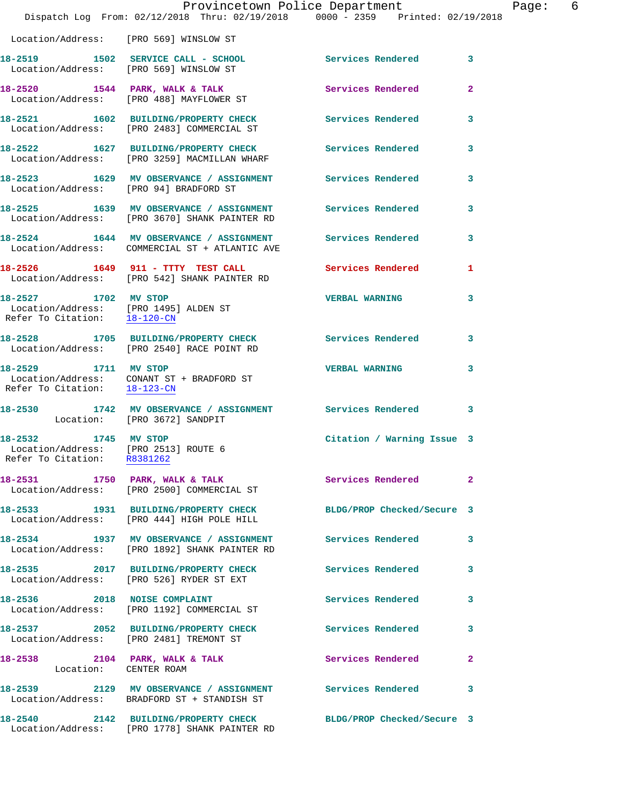|                                                                                                                                                  | Provincetown Police Department                                                                                         |                            |              |
|--------------------------------------------------------------------------------------------------------------------------------------------------|------------------------------------------------------------------------------------------------------------------------|----------------------------|--------------|
|                                                                                                                                                  | Dispatch Log From: 02/12/2018 Thru: 02/19/2018 0000 - 2359 Printed: 02/19/2018                                         |                            |              |
|                                                                                                                                                  | Location/Address: [PRO 569] WINSLOW ST                                                                                 |                            |              |
|                                                                                                                                                  | 18-2519 1502 SERVICE CALL - SCHOOL Services Rendered 3<br>Location/Address: [PRO 569] WINSLOW ST                       |                            |              |
|                                                                                                                                                  | 18-2520 1544 PARK, WALK & TALK Services Rendered<br>Location/Address: [PRO 488] MAYFLOWER ST                           |                            | $\mathbf{2}$ |
|                                                                                                                                                  | 18-2521 1602 BUILDING/PROPERTY CHECK<br>Location/Address: [PRO 2483] COMMERCIAL ST                                     | Services Rendered          | 3            |
|                                                                                                                                                  | 18-2522 1627 BUILDING/PROPERTY CHECK Services Rendered<br>Location/Address: [PRO 3259] MACMILLAN WHARF                 |                            | 3            |
|                                                                                                                                                  | 18-2523 1629 MV OBSERVANCE / ASSIGNMENT Services Rendered<br>Location/Address: [PRO 94] BRADFORD ST                    |                            | 3            |
|                                                                                                                                                  | 18-2525 1639 MV OBSERVANCE / ASSIGNMENT Services Rendered<br>Location/Address: [PRO 3670] SHANK PAINTER RD             |                            | 3            |
|                                                                                                                                                  | 18-2524 1644 MV OBSERVANCE / ASSIGNMENT Services Rendered<br>Location/Address: COMMERCIAL ST + ATLANTIC AVE            |                            | 3            |
|                                                                                                                                                  | 18-2526 1649 911 - TTTY TEST CALL Services Rendered<br>Location/Address: [PRO 542] SHANK PAINTER RD                    |                            | 1            |
| 18-2527 1702 MV STOP<br>$\begin{tabular}{ll} Location/Address: & [PRO~1495] ALDEN ST\\ Refer To Citation: & \underline{18-120-CN} \end{tabular}$ |                                                                                                                        | <b>VERBAL WARNING</b>      | 3            |
|                                                                                                                                                  | 18-2528 1705 BUILDING/PROPERTY CHECK Services Rendered<br>Location/Address: [PRO 2540] RACE POINT RD                   |                            | 3            |
|                                                                                                                                                  | 18-2529 1711 MV STOP<br>Location/Address: CONANT ST + BRADFORD ST<br>Refer To Citation: $\frac{18-123-CN}{128-123-CN}$ | <b>VERBAL WARNING</b>      | 3            |
| Location: [PRO 3672] SANDPIT                                                                                                                     | 18-2530 1742 MV OBSERVANCE / ASSIGNMENT Services Rendered 3                                                            |                            |              |
| 18-2532 1745 MV STOP<br>Refer To Citation: R8381262                                                                                              | Location/Address: [PRO 2513] ROUTE 6                                                                                   | Citation / Warning Issue 3 |              |
|                                                                                                                                                  | 18-2531 1750 PARK, WALK & TALK<br>Location/Address: [PRO 2500] COMMERCIAL ST                                           | Services Rendered          | $\mathbf{2}$ |
|                                                                                                                                                  | 18-2533 1931 BUILDING/PROPERTY CHECK BLDG/PROP Checked/Secure 3<br>Location/Address: [PRO 444] HIGH POLE HILL          |                            |              |
|                                                                                                                                                  | 18-2534 1937 MV OBSERVANCE / ASSIGNMENT Services Rendered<br>Location/Address: [PRO 1892] SHANK PAINTER RD             |                            | 3            |
|                                                                                                                                                  | 18-2535 2017 BUILDING/PROPERTY CHECK Services Rendered<br>Location/Address: [PRO 526] RYDER ST EXT                     |                            | 3            |
|                                                                                                                                                  | 18-2536 2018 NOISE COMPLAINT<br>Location/Address: [PRO 1192] COMMERCIAL ST                                             | Services Rendered 3        |              |
|                                                                                                                                                  | 18-2537 2052 BUILDING/PROPERTY CHECK<br>Location/Address: [PRO 2481] TREMONT ST                                        | Services Rendered          | 3            |
| Location: CENTER ROAM                                                                                                                            | 18-2538 2104 PARK, WALK & TALK                                                                                         | Services Rendered          | $\mathbf{2}$ |
|                                                                                                                                                  | 18-2539 2129 MV OBSERVANCE / ASSIGNMENT Services Rendered<br>Location/Address: BRADFORD ST + STANDISH ST               |                            | 3            |
|                                                                                                                                                  | 18-2540 2142 BUILDING/PROPERTY CHECK BLDG/PROP Checked/Secure 3<br>Location/Address: [PRO 1778] SHANK PAINTER RD       |                            |              |

Page: 6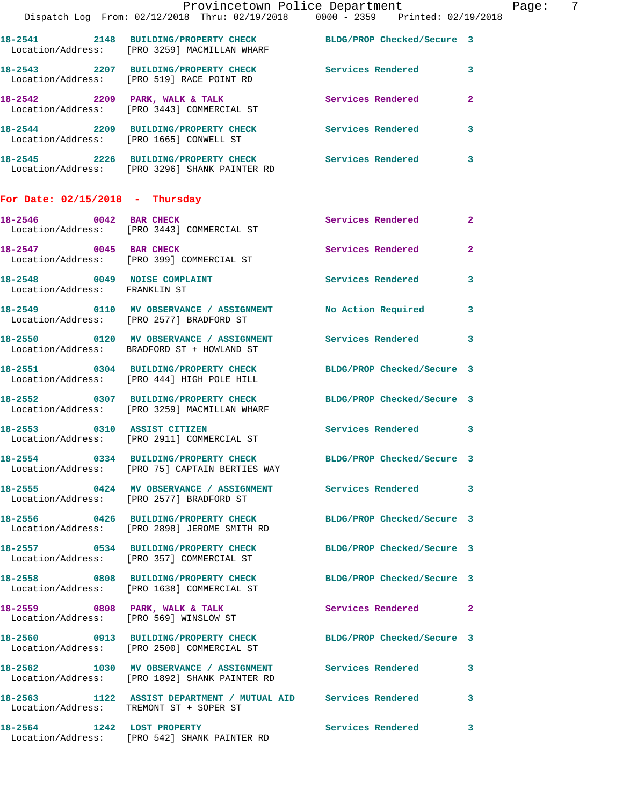|                                         | Provincetown Police Department                                                                                  |                            | -7<br>Page:             |
|-----------------------------------------|-----------------------------------------------------------------------------------------------------------------|----------------------------|-------------------------|
|                                         | Dispatch Log From: 02/12/2018 Thru: 02/19/2018 0000 - 2359 Printed: 02/19/2018                                  |                            |                         |
|                                         | 18-2541 2148 BUILDING/PROPERTY CHECK BLDG/PROP Checked/Secure 3<br>Location/Address: [PRO 3259] MACMILLAN WHARF |                            |                         |
|                                         | 18-2543 2207 BUILDING/PROPERTY CHECK Services Rendered 3<br>Location/Address: [PRO 519] RACE POINT RD           |                            |                         |
|                                         | 18-2542 2209 PARK, WALK & TALK<br>Location/Address: [PRO 3443] COMMERCIAL ST                                    | Services Rendered 2        |                         |
|                                         | 18-2544 2209 BUILDING/PROPERTY CHECK Services Rendered<br>Location/Address: [PRO 1665] CONWELL ST               |                            | $\overline{\mathbf{3}}$ |
|                                         | 18-2545 2226 BUILDING/PROPERTY CHECK Services Rendered 3<br>Location/Address: [PRO 3296] SHANK PAINTER RD       |                            |                         |
| For Date: $02/15/2018$ - Thursday       |                                                                                                                 |                            |                         |
|                                         | 18-2546 0042 BAR CHECK<br>Location/Address: [PRO 3443] COMMERCIAL ST                                            | Services Rendered 2        |                         |
|                                         | 18-2547 0045 BAR CHECK<br>Location/Address: [PRO 399] COMMERCIAL ST                                             | Services Rendered 2        |                         |
| Location/Address: FRANKLIN ST           | 18-2548 0049 NOISE COMPLAINT Services Rendered 3                                                                |                            |                         |
|                                         | 18-2549 0110 MV OBSERVANCE / ASSIGNMENT No Action Required 3<br>Location/Address: [PRO 2577] BRADFORD ST        |                            |                         |
|                                         | 18-2550 0120 MV OBSERVANCE / ASSIGNMENT Services Rendered 3<br>Location/Address: BRADFORD ST + HOWLAND ST       |                            |                         |
|                                         | 18-2551 0304 BUILDING/PROPERTY CHECK BLDG/PROP Checked/Secure 3<br>Location/Address: [PRO 444] HIGH POLE HILL   |                            |                         |
|                                         | 18-2552 0307 BUILDING/PROPERTY CHECK BLDG/PROP Checked/Secure 3<br>Location/Address: [PRO 3259] MACMILLAN WHARF |                            |                         |
|                                         | 18-2553 0310 ASSIST CITIZEN<br>Location/Address: [PRO 2911] COMMERCIAL ST                                       | Services Rendered 3        |                         |
|                                         | 18-2554 0334 BUILDING/PROPERTY CHECK<br>Location/Address: [PRO 75] CAPTAIN BERTIES WAY                          | BLDG/PROP Checked/Secure 3 |                         |
|                                         | 18-2555 0424 MV OBSERVANCE / ASSIGNMENT Services Rendered 3<br>Location/Address: [PRO 2577] BRADFORD ST         |                            |                         |
|                                         | 18-2556 0426 BUILDING/PROPERTY CHECK<br>Location/Address: [PRO 2898] JEROME SMITH RD                            | BLDG/PROP Checked/Secure 3 |                         |
|                                         | 18-2557 0534 BUILDING/PROPERTY CHECK BLDG/PROP Checked/Secure 3<br>Location/Address: [PRO 357] COMMERCIAL ST    |                            |                         |
|                                         | 18-2558 0808 BUILDING/PROPERTY CHECK BLDG/PROP Checked/Secure 3<br>Location/Address: [PRO 1638] COMMERCIAL ST   |                            |                         |
|                                         | 18-2559 0808 PARK, WALK & TALK<br>Location/Address: [PRO 569] WINSLOW ST                                        | Services Rendered 2        |                         |
|                                         | 18-2560 0913 BUILDING/PROPERTY CHECK BLDG/PROP Checked/Secure 3<br>Location/Address: [PRO 2500] COMMERCIAL ST   |                            |                         |
|                                         | 18-2562 1030 MV OBSERVANCE / ASSIGNMENT<br>Location/Address: [PRO 1892] SHANK PAINTER RD                        | <b>Services Rendered</b>   | $\mathbf{3}$            |
| Location/Address: TREMONT ST + SOPER ST | 18-2563 1122 ASSIST DEPARTMENT / MUTUAL AID Services Rendered 3                                                 |                            |                         |
|                                         | 18-2564 1242 LOST PROPERTY<br>Location/Address: [PRO 542] SHANK PAINTER RD                                      | Services Rendered 3        |                         |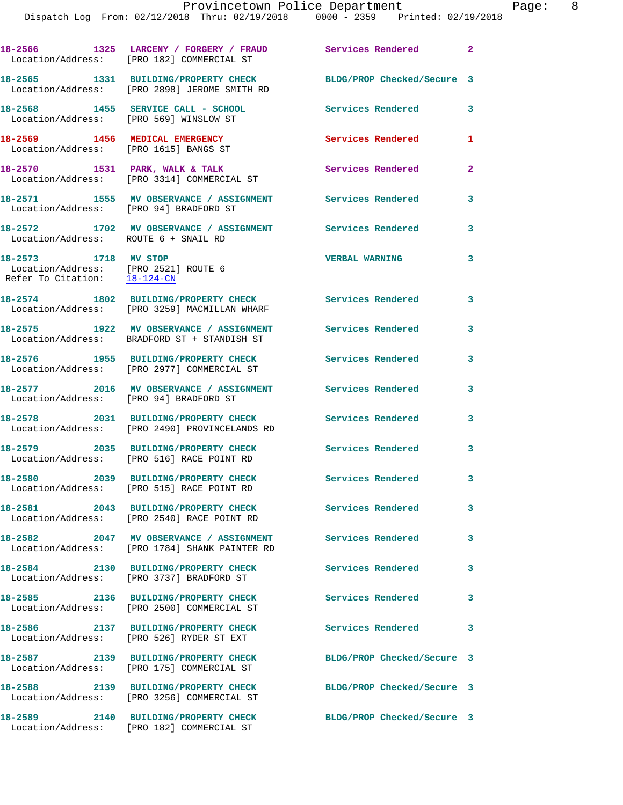|                                                                         |                                                                                                                                        | Provincetown Police Department                                                 | Page: | $\overline{\phantom{0}}$ 8 |
|-------------------------------------------------------------------------|----------------------------------------------------------------------------------------------------------------------------------------|--------------------------------------------------------------------------------|-------|----------------------------|
|                                                                         |                                                                                                                                        | Dispatch Log From: 02/12/2018 Thru: 02/19/2018 0000 - 2359 Printed: 02/19/2018 |       |                            |
|                                                                         | 18-2566                  1325   LARCENY / FORGERY / FRAUD               Services Rendered<br>Location/Address: [PRO 182] COMMERCIAL ST |                                                                                |       |                            |
|                                                                         | 18-2565 1331 BUILDING/PROPERTY CHECK BLDG/PROP Checked/Secure 3<br>Location/Address: [PRO 2898] JEROME SMITH RD                        |                                                                                |       |                            |
| Location/Address: [PRO 569] WINSLOW ST                                  | 18-2568 1455 SERVICE CALL - SCHOOL                                                                                                     | <b>Services Rendered</b><br>3                                                  |       |                            |
| 18-2569 1456 MEDICAL EMERGENCY<br>Location/Address: [PRO 1615] BANGS ST |                                                                                                                                        | <b>Services Rendered</b><br>1                                                  |       |                            |
|                                                                         | 18-2570 1531 PARK, WALK & TALK<br>Location/Address: [PRO 3314] COMMERCIAL ST                                                           | Services Rendered<br>$\overline{2}$                                            |       |                            |
| Location/Address: [PRO 94] BRADFORD ST                                  | 18-2571 1555 MV OBSERVANCE / ASSIGNMENT                                                                                                | Services Rendered<br>3                                                         |       |                            |
| Location/Address: ROUTE 6 + SNAIL RD                                    | 18-2572 1702 MV OBSERVANCE / ASSIGNMENT                                                                                                | Services Rendered<br>3                                                         |       |                            |

 Location/Address: [PRO 2521] ROUTE 6 Refer To Citation: 18-124-CN

**18-2577 2016 MV OBSERVANCE / ASSIGNMENT Services Rendered 3**  Location/Address: [PRO 94] BRADFORD ST

Location/Address: [PRO 2500] COMMERCIAL ST

 Location/Address: [PRO 2490] PROVINCELANDS RD **18-2579 2035 BUILDING/PROPERTY CHECK Services Rendered 3** 

**18-2580 2039 BUILDING/PROPERTY CHECK Services Rendered 3** 

**18-2581 2043 BUILDING/PROPERTY CHECK Services Rendered 3** 

Location/Address: [PRO 1784] SHANK PAINTER RD

Location/Address: [PRO 3737] BRADFORD ST

**18-2585 2136 BUILDING/PROPERTY CHECK Services Rendered 3** 

**18-2586 2137 BUILDING/PROPERTY CHECK Services Rendered 3** 

Location/Address: [PRO 175] COMMERCIAL ST

**18-2588 2139 BUILDING/PROPERTY CHECK BLDG/PROP Checked/Secure 3**  Location/Address: [PRO 3256] COMMERCIAL ST

**18-2589 2140 BUILDING/PROPERTY CHECK BLDG/PROP Checked/Secure 3**  Location/Address: [PRO 182] COMMERCIAL ST

**18-2573 1718 MV STOP VERBAL WARNING 3** 

**18-2574 1802 BUILDING/PROPERTY CHECK Services Rendered 3**  Location/Address: [PRO 3259] MACMILLAN WHARF

**18-2575 1922 MV OBSERVANCE / ASSIGNMENT Services Rendered 3**  Location/Address: BRADFORD ST + STANDISH ST

**18-2576 1955 BUILDING/PROPERTY CHECK Services Rendered 3**  Location/Address: [PRO 2977] COMMERCIAL ST

**18-2578 2031 BUILDING/PROPERTY CHECK Services Rendered 3** 

Location/Address: [PRO 516] RACE POINT RD

Location/Address: [PRO 515] RACE POINT RD

Location/Address: [PRO 2540] RACE POINT RD

**18-2582 2047 MV OBSERVANCE / ASSIGNMENT Services Rendered 3** 

**18-2584 2130 BUILDING/PROPERTY CHECK Services Rendered 3** 

Location/Address: [PRO 526] RYDER ST EXT

**18-2587 2139 BUILDING/PROPERTY CHECK BLDG/PROP Checked/Secure 3**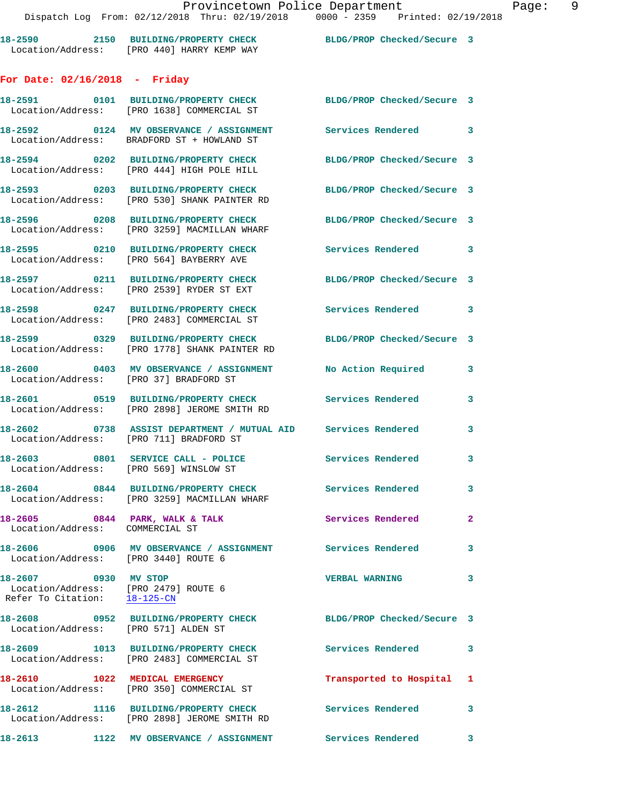**18-2590 2150 BUILDING/PROPERTY CHECK BLDG/PROP Checked/Secure 3**  Location/Address: [PRO 440] HARRY KEMP WAY

## **For Date: 02/16/2018 - Friday**

|                                 | 18-2591 0101 BUILDING/PROPERTY CHECK<br>Location/Address: [PRO 1638] COMMERCIAL ST                       | BLDG/PROP Checked/Secure 3 |                |
|---------------------------------|----------------------------------------------------------------------------------------------------------|----------------------------|----------------|
|                                 | 18-2592 0124 MV OBSERVANCE / ASSIGNMENT<br>Location/Address: BRADFORD ST + HOWLAND ST                    | Services Rendered 3        |                |
|                                 | 18-2594 0202 BUILDING/PROPERTY CHECK<br>Location/Address: [PRO 444] HIGH POLE HILL                       | BLDG/PROP Checked/Secure 3 |                |
|                                 | 18-2593 0203 BUILDING/PROPERTY CHECK<br>Location/Address: [PRO 530] SHANK PAINTER RD                     | BLDG/PROP Checked/Secure 3 |                |
|                                 | 18-2596 0208 BUILDING/PROPERTY CHECK<br>Location/Address: [PRO 3259] MACMILLAN WHARF                     | BLDG/PROP Checked/Secure 3 |                |
|                                 | 18-2595 0210 BUILDING/PROPERTY CHECK<br>Location/Address: [PRO 564] BAYBERRY AVE                         | Services Rendered 3        |                |
|                                 | 18-2597 0211 BUILDING/PROPERTY CHECK<br>Location/Address: [PRO 2539] RYDER ST EXT                        | BLDG/PROP Checked/Secure 3 |                |
|                                 | 18-2598 0247 BUILDING/PROPERTY CHECK<br>Location/Address: [PRO 2483] COMMERCIAL ST                       | Services Rendered 3        |                |
|                                 | 18-2599 0329 BUILDING/PROPERTY CHECK<br>Location/Address: [PRO 1778] SHANK PAINTER RD                    | BLDG/PROP Checked/Secure 3 |                |
|                                 | 18-2600 0403 MV OBSERVANCE / ASSIGNMENT No Action Required<br>Location/Address: [PRO 37] BRADFORD ST     |                            | $\mathbf{3}$   |
|                                 | 18-2601 0519 BUILDING/PROPERTY CHECK Services Rendered<br>Location/Address: [PRO 2898] JEROME SMITH RD   |                            | 3              |
|                                 | 18-2602 0738 ASSIST DEPARTMENT / MUTUAL AID Services Rendered<br>Location/Address: [PRO 711] BRADFORD ST |                            | $\mathbf{3}$   |
|                                 | 18-2603 0801 SERVICE CALL - POLICE<br>Location/Address: [PRO 569] WINSLOW ST                             | <b>Services Rendered</b>   | 3              |
|                                 | 18-2604 0844 BUILDING/PROPERTY CHECK<br>Location/Address: [PRO 3259] MACMILLAN WHARF                     | Services Rendered          | 3              |
| Location/Address: COMMERCIAL ST | $18-2605$ 0844 PARK, WALK & TALK                                                                         | Services Rendered          | $\overline{2}$ |
|                                 | 18-2606 6906 MV OBSERVANCE / ASSIGNMENT Services Rendered 3<br>Location/Address: [PRO 3440] ROUTE 6      |                            |                |
| 18-2607 0930 MV STOP            | Location/Address: [PRO 2479] ROUTE 6<br>Refer To Citation: 18-125-CN                                     | <b>VERBAL WARNING</b>      | $\mathbf{3}$   |
| 18-2608                         | 0952 BUILDING/PROPERTY CHECK<br>Location/Address: [PRO 571] ALDEN ST                                     | BLDG/PROP Checked/Secure 3 |                |
|                                 | 18-2609 1013 BUILDING/PROPERTY CHECK<br>Location/Address: [PRO 2483] COMMERCIAL ST                       | Services Rendered          | 3              |
|                                 | 18-2610 1022 MEDICAL EMERGENCY<br>Location/Address: [PRO 350] COMMERCIAL ST                              | Transported to Hospital 1  |                |
|                                 | 18-2612 1116 BUILDING/PROPERTY CHECK<br>Location/Address: [PRO 2898] JEROME SMITH RD                     | Services Rendered          | 3              |
| 18-2613                         | 1122 MV OBSERVANCE / ASSIGNMENT                                                                          | Services Rendered          | 3              |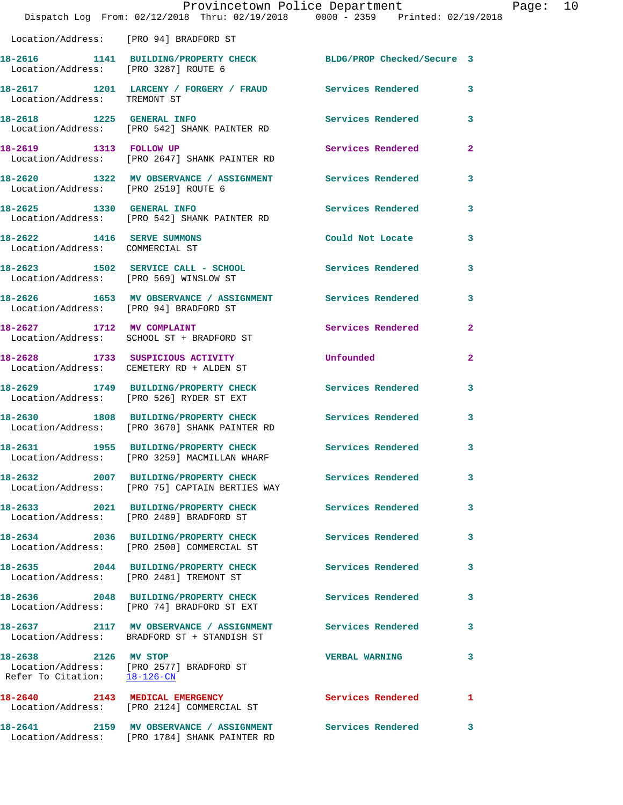|                                                               | Provincetown Police Department<br>Dispatch Log From: 02/12/2018 Thru: 02/19/2018 0000 - 2359 Printed: 02/19/2018 |                            |              |
|---------------------------------------------------------------|------------------------------------------------------------------------------------------------------------------|----------------------------|--------------|
| Location/Address: [PRO 94] BRADFORD ST                        |                                                                                                                  |                            |              |
| Location/Address: [PRO 3287] ROUTE 6                          | 18-2616 1141 BUILDING/PROPERTY CHECK                                                                             | BLDG/PROP Checked/Secure 3 |              |
| Location/Address: TREMONT ST                                  | 18-2617 1201 LARCENY / FORGERY / FRAUD Services Rendered                                                         |                            | 3            |
|                                                               | 18-2618 1225 GENERAL INFO<br>Location/Address: [PRO 542] SHANK PAINTER RD                                        | <b>Services Rendered</b>   | 3            |
| 18-2619 1313 FOLLOW UP                                        | Location/Address: [PRO 2647] SHANK PAINTER RD                                                                    | Services Rendered          | $\mathbf{2}$ |
| Location/Address: [PRO 2519] ROUTE 6                          | 18-2620 1322 MV OBSERVANCE / ASSIGNMENT Services Rendered                                                        |                            | 3            |
|                                                               | 18-2625 1330 GENERAL INFO<br>Location/Address: [PRO 542] SHANK PAINTER RD                                        | <b>Services Rendered</b>   | 3            |
| 18-2622 1416 SERVE SUMMONS<br>Location/Address: COMMERCIAL ST |                                                                                                                  | Could Not Locate           | 3            |
| Location/Address: [PRO 569] WINSLOW ST                        | 18-2623 1502 SERVICE CALL - SCHOOL                                                                               | Services Rendered          | 3            |
|                                                               | 18-2626 1653 MV OBSERVANCE / ASSIGNMENT Services Rendered<br>Location/Address: [PRO 94] BRADFORD ST              |                            | 3            |
|                                                               | 18-2627 1712 MV COMPLAINT<br>Location/Address: SCHOOL ST + BRADFORD ST                                           | Services Rendered          | $\mathbf{2}$ |
|                                                               | 18-2628 1733 SUSPICIOUS ACTIVITY<br>Location/Address: CEMETERY RD + ALDEN ST                                     | Unfounded                  | 2            |
|                                                               | 18-2629 1749 BUILDING/PROPERTY CHECK<br>Location/Address: [PRO 526] RYDER ST EXT                                 | <b>Services Rendered</b>   | 3            |
|                                                               | 18-2630 1808 BUILDING/PROPERTY CHECK<br>Location/Address: [PRO 3670] SHANK PAINTER RD                            | <b>Services Rendered</b>   | 3            |
| 18-2631                                                       | 1955 BUILDING/PROPERTY CHECK Services Rendered<br>Location/Address: [PRO 3259] MACMILLAN WHARF                   |                            | 3            |
|                                                               | 18-2632 2007 BUILDING/PROPERTY CHECK Services Rendered<br>Location/Address: [PRO 75] CAPTAIN BERTIES WAY         |                            | 3            |
|                                                               | 18-2633 2021 BUILDING/PROPERTY CHECK Services Rendered<br>Location/Address: [PRO 2489] BRADFORD ST               |                            | 3            |
|                                                               | 18-2634 2036 BUILDING/PROPERTY CHECK Services Rendered<br>Location/Address: [PRO 2500] COMMERCIAL ST             |                            | 3            |
| Location/Address: [PRO 2481] TREMONT ST                       | 18-2635 2044 BUILDING/PROPERTY CHECK                                                                             | <b>Services Rendered</b>   | 3            |
|                                                               | 18-2636 2048 BUILDING/PROPERTY CHECK Services Rendered<br>Location/Address: [PRO 74] BRADFORD ST EXT             |                            | 3            |
|                                                               | 18-2637 2117 MV OBSERVANCE / ASSIGNMENT Services Rendered<br>Location/Address: BRADFORD ST + STANDISH ST         |                            | 3            |
| 18-2638 2126 MV STOP<br>Refer To Citation: 18-126-CN          | Location/Address: [PRO 2577] BRADFORD ST                                                                         | <b>VERBAL WARNING</b>      | 3            |
|                                                               | 18-2640 2143 MEDICAL EMERGENCY<br>Location/Address: [PRO 2124] COMMERCIAL ST                                     | Services Rendered          | 1            |
|                                                               | 18-2641 2159 MV OBSERVANCE / ASSIGNMENT Services Rendered<br>Location/Address: [PRO 1784] SHANK PAINTER RD       |                            | 3            |

Page: 10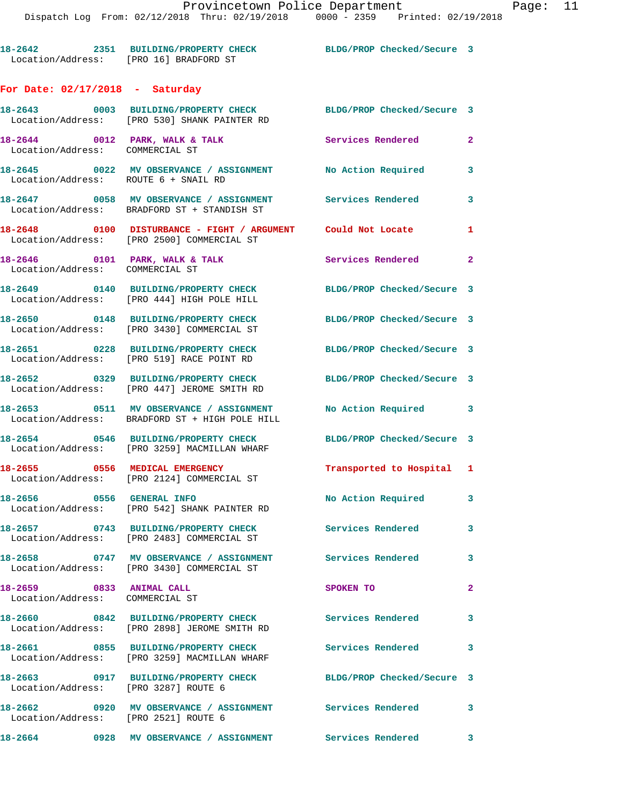**18-2642 2351 BUILDING/PROPERTY CHECK BLDG/PROP Checked/Secure 3** 

## **For Date: 02/17/2018 - Saturday**

Location/Address: [PRO 16] BRADFORD ST

|                                                                   | 18-2643 0003 BUILDING/PROPERTY CHECK<br>Location/Address: [PRO 530] SHANK PAINTER RD                       | BLDG/PROP Checked/Secure 3                       |              |
|-------------------------------------------------------------------|------------------------------------------------------------------------------------------------------------|--------------------------------------------------|--------------|
| 18-2644 0012 PARK, WALK & TALK<br>Location/Address: COMMERCIAL ST |                                                                                                            | <b>Services Rendered</b>                         | $\mathbf{2}$ |
| Location/Address: ROUTE 6 + SNAIL RD                              | 18-2645 0022 MV OBSERVANCE / ASSIGNMENT                                                                    | No Action Required                               | 3            |
|                                                                   | 18-2647 0058 MV OBSERVANCE / ASSIGNMENT Services Rendered<br>Location/Address: BRADFORD ST + STANDISH ST   |                                                  | $\mathbf{3}$ |
|                                                                   | 18-2648 0100 DISTURBANCE - FIGHT / ARGUMENT Could Not Locate<br>Location/Address: [PRO 2500] COMMERCIAL ST |                                                  | 1            |
| Location/Address: COMMERCIAL ST                                   | 18-2646 0101 PARK, WALK & TALK                                                                             | Services Rendered 2                              |              |
|                                                                   | 18-2649 0140 BUILDING/PROPERTY CHECK<br>Location/Address: [PRO 444] HIGH POLE HILL                         | BLDG/PROP Checked/Secure 3                       |              |
|                                                                   | 18-2650 0148 BUILDING/PROPERTY CHECK<br>Location/Address: [PRO 3430] COMMERCIAL ST                         | BLDG/PROP Checked/Secure 3                       |              |
|                                                                   | 18-2651 0228 BUILDING/PROPERTY CHECK<br>Location/Address: [PRO 519] RACE POINT RD                          | BLDG/PROP Checked/Secure 3                       |              |
|                                                                   | 18-2652 0329 BUILDING/PROPERTY CHECK<br>Location/Address: [PRO 447] JEROME SMITH RD                        | BLDG/PROP Checked/Secure 3                       |              |
|                                                                   | 18-2653 0511 MV OBSERVANCE / ASSIGNMENT<br>Location/Address: BRADFORD ST + HIGH POLE HILL                  | No Action Required<br>$\overline{\phantom{a}}$ 3 |              |
|                                                                   | 18-2654 0546 BUILDING/PROPERTY CHECK<br>Location/Address: [PRO 3259] MACMILLAN WHARF                       | BLDG/PROP Checked/Secure 3                       |              |
|                                                                   | 18-2655 0556 MEDICAL EMERGENCY<br>Location/Address: [PRO 2124] COMMERCIAL ST                               | Transported to Hospital 1                        |              |
| 18-2656 0556 GENERAL INFO                                         | Location/Address: [PRO 542] SHANK PAINTER RD                                                               | No Action Required                               | 3            |
|                                                                   | 18-2657 0743 BUILDING/PROPERTY CHECK<br>Location/Address: [PRO 2483] COMMERCIAL ST                         | Services Rendered 3                              |              |
| 18-2658                                                           | 0747 MV OBSERVANCE / ASSIGNMENT<br>Location/Address: [PRO 3430] COMMERCIAL ST                              | Services Rendered                                | $\mathbf{3}$ |
| 18-2659 0833 ANIMAL CALL<br>Location/Address: COMMERCIAL ST       |                                                                                                            | SPOKEN TO                                        | $\mathbf{2}$ |
|                                                                   | 18-2660 0842 BUILDING/PROPERTY CHECK<br>Location/Address: [PRO 2898] JEROME SMITH RD                       | Services Rendered                                | 3            |
| 18-2661                                                           | 0855 BUILDING/PROPERTY CHECK<br>Location/Address: [PRO 3259] MACMILLAN WHARF                               | Services Rendered                                | 3            |
| Location/Address: [PRO 3287] ROUTE 6                              | 18-2663 0917 BUILDING/PROPERTY CHECK                                                                       | BLDG/PROP Checked/Secure 3                       |              |
| Location/Address: [PRO 2521] ROUTE 6                              | 18-2662  0920 MV OBSERVANCE / ASSIGNMENT  Services Rendered                                                |                                                  | 3            |
| 18-2664                                                           | 0928 MV OBSERVANCE / ASSIGNMENT                                                                            | <b>Services Rendered</b>                         | 3            |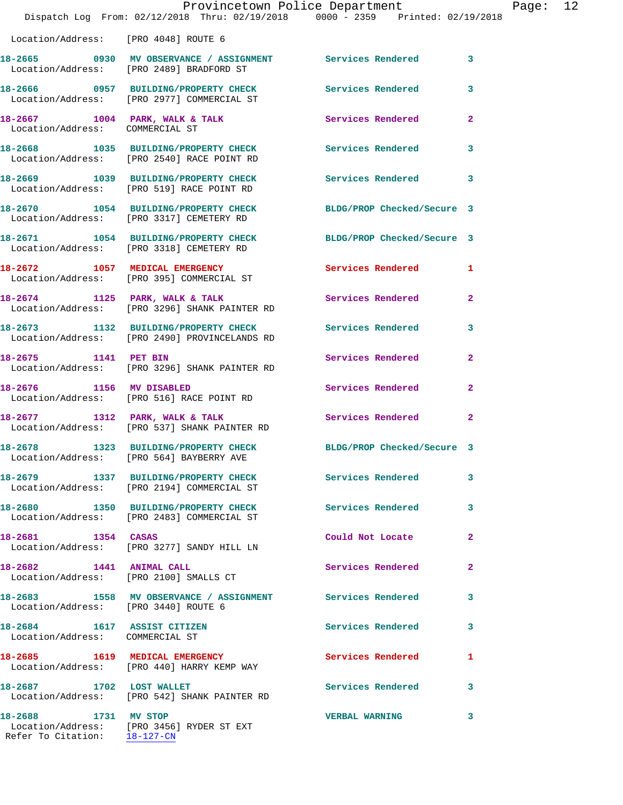|                                                                | Dispatch Log From: 02/12/2018 Thru: 02/19/2018 0000 - 2359 Printed: 02/19/2018                              | Provincetown Police Department Fage: 12 |                |  |
|----------------------------------------------------------------|-------------------------------------------------------------------------------------------------------------|-----------------------------------------|----------------|--|
|                                                                | Location/Address: [PRO 4048] ROUTE 6                                                                        |                                         |                |  |
|                                                                | 18-2665 0930 MV OBSERVANCE / ASSIGNMENT Services Rendered 3<br>Location/Address: [PRO 2489] BRADFORD ST     |                                         |                |  |
|                                                                | 18-2666 0957 BUILDING/PROPERTY CHECK Services Rendered<br>Location/Address: [PRO 2977] COMMERCIAL ST        |                                         | 3              |  |
| Location/Address: COMMERCIAL ST                                | 18-2667 1004 PARK, WALK & TALK 1999 Services Rendered                                                       |                                         | $\mathbf{2}$   |  |
|                                                                | 18-2668 1035 BUILDING/PROPERTY CHECK Services Rendered<br>Location/Address: [PRO 2540] RACE POINT RD        |                                         | 3              |  |
|                                                                | 18-2669 1039 BUILDING/PROPERTY CHECK Services Rendered 3<br>Location/Address: [PRO 519] RACE POINT RD       |                                         |                |  |
|                                                                | 18-2670 1054 BUILDING/PROPERTY CHECK BLDG/PROP Checked/Secure 3<br>Location/Address: [PRO 3317] CEMETERY RD |                                         |                |  |
|                                                                | 18-2671 1054 BUILDING/PROPERTY CHECK BLDG/PROP Checked/Secure 3<br>Location/Address: [PRO 3318] CEMETERY RD |                                         |                |  |
|                                                                | 18-2672 1057 MEDICAL EMERGENCY<br>Location/Address: [PRO 395] COMMERCIAL ST                                 | Services Rendered 1                     |                |  |
|                                                                | 18-2674 1125 PARK, WALK & TALK<br>Location/Address: [PRO 3296] SHANK PAINTER RD                             | <b>Services Rendered</b>                | $\mathbf{2}$   |  |
|                                                                | 18-2673 1132 BUILDING/PROPERTY CHECK Services Rendered<br>Location/Address: [PRO 2490] PROVINCELANDS RD     |                                         | $\mathbf{3}$   |  |
|                                                                | 18-2675 1141 PET BIN<br>Location/Address: [PRO 3296] SHANK PAINTER RD                                       | Services Rendered                       | $\overline{2}$ |  |
|                                                                | 18-2676 1156 MV DISABLED<br>Location/Address: [PRO 516] RACE POINT RD                                       | Services Rendered                       | $\overline{2}$ |  |
|                                                                | 18-2677 1312 PARK, WALK & TALK<br>Location/Address: [PRO 537] SHANK PAINTER RD                              | Services Rendered                       | $\mathbf{2}$   |  |
|                                                                | 18-2678 1323 BUILDING/PROPERTY CHECK<br>Location/Address: [PRO 564] BAYBERRY AVE                            | BLDG/PROP Checked/Secure 3              |                |  |
|                                                                | 18-2679 1337 BUILDING/PROPERTY CHECK Services Rendered<br>Location/Address: [PRO 2194] COMMERCIAL ST        |                                         | 3              |  |
|                                                                | 18-2680 1350 BUILDING/PROPERTY CHECK Services Rendered<br>Location/Address: [PRO 2483] COMMERCIAL ST        |                                         | 3              |  |
| 18-2681 1354 CASAS                                             | Location/Address: [PRO 3277] SANDY HILL LN                                                                  | Could Not Locate                        | $\overline{2}$ |  |
|                                                                | 18-2682 1441 ANIMAL CALL<br>Location/Address: [PRO 2100] SMALLS CT                                          | Services Rendered                       | $\mathbf{2}$   |  |
| Location/Address: [PRO 3440] ROUTE 6                           | 18-2683 1558 MV OBSERVANCE / ASSIGNMENT Services Rendered                                                   |                                         | 3              |  |
| 18-2684 1617 ASSIST CITIZEN<br>Location/Address: COMMERCIAL ST |                                                                                                             | <b>Services Rendered</b>                | 3              |  |
|                                                                | 18-2685 1619 MEDICAL EMERGENCY<br>Location/Address: [PRO 440] HARRY KEMP WAY                                | Services Rendered                       | 1              |  |
| 18-2687 1702 LOST WALLET                                       | Location/Address: [PRO 542] SHANK PAINTER RD                                                                | Services Rendered 3                     |                |  |
| 18-2688 1731 MV STOP                                           | Location/Address: [PRO 3456] RYDER ST EXT                                                                   | <b>VERBAL WARNING</b>                   | 3              |  |

Refer To Citation: 18-127-CN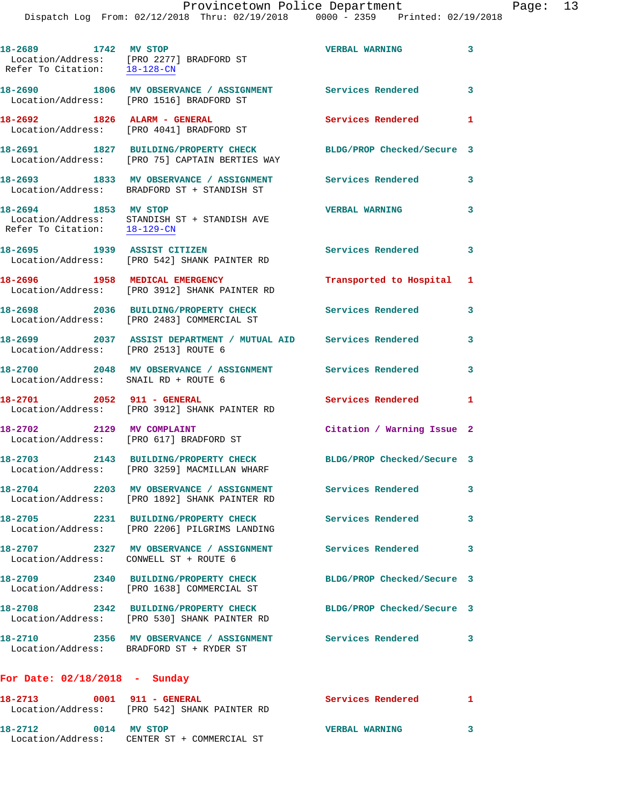**18-2689 1742 MV STOP VERBAL WARNING 3**  Location/Address: [PRO 2277] BRADFORD ST Refer To Citation: 18-128-CN **18-2690 1806 MV OBSERVANCE / ASSIGNMENT Services Rendered 3**  Location/Address: [PRO 1516] BRADFORD ST **18-2692 1826 ALARM - GENERAL Services Rendered 1**  Location/Address: [PRO 4041] BRADFORD ST **18-2691 1827 BUILDING/PROPERTY CHECK BLDG/PROP Checked/Secure 3**  Location/Address: [PRO 75] CAPTAIN BERTIES WAY **18-2693 1833 MV OBSERVANCE / ASSIGNMENT Services Rendered 3**  Location/Address: BRADFORD ST + STANDISH ST **18-2694 1853 MV STOP VERBAL WARNING 3**  Location/Address: STANDISH ST + STANDISH AVE Refer To Citation: 18-129-CN **18-2695 1939 ASSIST CITIZEN Services Rendered 3**  Location/Address: [PRO 542] SHANK PAINTER RD **18-2696 1958 MEDICAL EMERGENCY Transported to Hospital 1**  Location/Address: [PRO 3912] SHANK PAINTER RD **18-2698 2036 BUILDING/PROPERTY CHECK Services Rendered 3**  Location/Address: [PRO 2483] COMMERCIAL ST **18-2699 2037 ASSIST DEPARTMENT / MUTUAL AID Services Rendered 3**  Location/Address: [PRO 2513] ROUTE 6 **18-2700 2048 MV OBSERVANCE / ASSIGNMENT Services Rendered 3**  Location/Address: SNAIL RD + ROUTE 6 **18-2701 2052 911 - GENERAL Services Rendered 1**  Location/Address: [PRO 3912] SHANK PAINTER RD **18-2702 2129 MV COMPLAINT Citation / Warning Issue 2**  Location/Address: [PRO 617] BRADFORD ST **18-2703 2143 BUILDING/PROPERTY CHECK BLDG/PROP Checked/Secure 3**  Location/Address: [PRO 3259] MACMILLAN WHARF **18-2704 2203 MV OBSERVANCE / ASSIGNMENT Services Rendered 3**  Location/Address: [PRO 1892] SHANK PAINTER RD **18-2705 2231 BUILDING/PROPERTY CHECK Services Rendered 3**  Location/Address: [PRO 2206] PILGRIMS LANDING **18-2707 2327 MV OBSERVANCE / ASSIGNMENT Services Rendered 3**  Location/Address: CONWELL ST + ROUTE 6 **18-2709 2340 BUILDING/PROPERTY CHECK BLDG/PROP Checked/Secure 3**  Location/Address: [PRO 1638] COMMERCIAL ST **18-2708 2342 BUILDING/PROPERTY CHECK BLDG/PROP Checked/Secure 3**  Location/Address: [PRO 530] SHANK PAINTER RD **18-2710 2356 MV OBSERVANCE / ASSIGNMENT Services Rendered 3**  Location/Address: BRADFORD ST + RYDER ST **For Date: 02/18/2018 - Sunday 18-2713 0001 911 - GENERAL Services Rendered 1**  Location/Address: [PRO 542] SHANK PAINTER RD

**18-2712 0014 MV STOP VERBAL WARNING 3**  Location/Address: CENTER ST + COMMERCIAL ST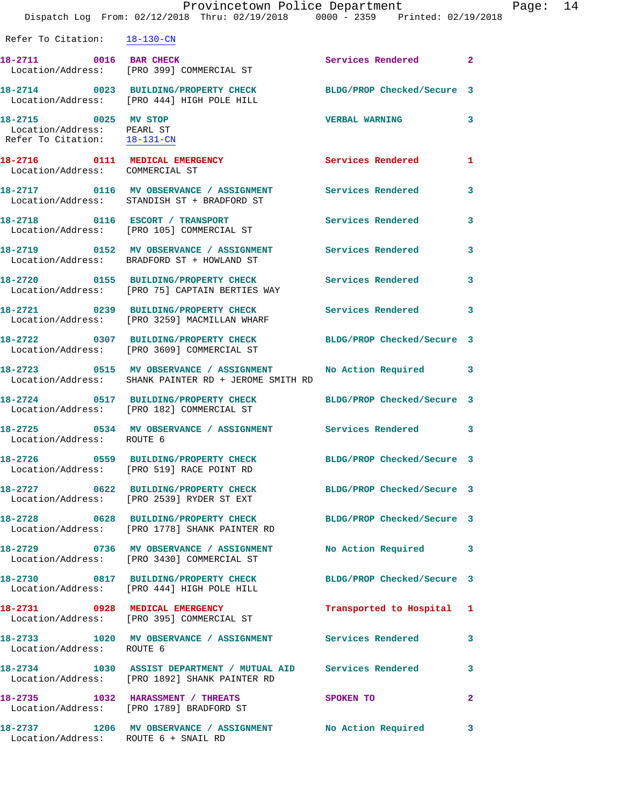|                                                                                    | Provincetown Police Department                                                                                       |                            |              | Page: 14 |  |
|------------------------------------------------------------------------------------|----------------------------------------------------------------------------------------------------------------------|----------------------------|--------------|----------|--|
|                                                                                    | Dispatch Log From: 02/12/2018 Thru: 02/19/2018 0000 - 2359 Printed: 02/19/2018                                       |                            |              |          |  |
| Refer To Citation: 18-130-CN                                                       |                                                                                                                      |                            |              |          |  |
|                                                                                    | 18-2711 0016 BAR CHECK<br>Location/Address: [PRO 399] COMMERCIAL ST                                                  | Services Rendered 2        |              |          |  |
|                                                                                    | 18-2714 0023 BUILDING/PROPERTY CHECK BLDG/PROP Checked/Secure 3<br>Location/Address: [PRO 444] HIGH POLE HILL        |                            |              |          |  |
| 18-2715 0025 MV STOP<br>Location/Address: PEARL ST<br>Refer To Citation: 18-131-CN |                                                                                                                      | VERBAL WARNING 3           |              |          |  |
| Location/Address: COMMERCIAL ST                                                    | 18-2716 0111 MEDICAL EMERGENCY Services Rendered 1                                                                   |                            |              |          |  |
|                                                                                    |                                                                                                                      |                            |              |          |  |
|                                                                                    | 18-2718 		 0116 		 ESCORT / TRANSPORT 			 Services Rendered<br>Location/Address: [PRO 105] COMMERCIAL ST             |                            | 3            |          |  |
|                                                                                    | 18-2719 		 0152 MV OBSERVANCE / ASSIGNMENT Services Rendered<br>Location/Address: BRADFORD ST + HOWLAND ST           |                            | 3            |          |  |
|                                                                                    | 18-2720 0155 BUILDING/PROPERTY CHECK Services Rendered<br>Location/Address: [PRO 75] CAPTAIN BERTIES WAY             |                            | $\mathbf{3}$ |          |  |
|                                                                                    | 18-2721 0239 BUILDING/PROPERTY CHECK Services Rendered 3<br>Location/Address: [PRO 3259] MACMILLAN WHARF             |                            |              |          |  |
|                                                                                    | 18-2722 0307 BUILDING/PROPERTY CHECK BLDG/PROP Checked/Secure 3<br>Location/Address: [PRO 3609] COMMERCIAL ST        |                            |              |          |  |
|                                                                                    | 18-2723 0515 MV OBSERVANCE / ASSIGNMENT No Action Required 3<br>Location/Address: SHANK PAINTER RD + JEROME SMITH RD |                            |              |          |  |
|                                                                                    | 18-2724 0517 BUILDING/PROPERTY CHECK<br>Location/Address: [PRO 182] COMMERCIAL ST                                    | BLDG/PROP Checked/Secure 3 |              |          |  |
| Location/Address: ROUTE 6                                                          | 18-2725 0534 MV OBSERVANCE / ASSIGNMENT Services Rendered 3                                                          |                            |              |          |  |
|                                                                                    | Location/Address: [PRO 519] RACE POINT RD                                                                            | BLDG/PROP Checked/Secure 3 |              |          |  |
|                                                                                    | 18-2727 0622 BUILDING/PROPERTY CHECK<br>Location/Address: [PRO 2539] RYDER ST EXT                                    | BLDG/PROP Checked/Secure 3 |              |          |  |
|                                                                                    | 18-2728 0628 BUILDING/PROPERTY CHECK<br>Location/Address: [PRO 1778] SHANK PAINTER RD                                | BLDG/PROP Checked/Secure 3 |              |          |  |
|                                                                                    |                                                                                                                      |                            |              |          |  |

**18-2729 0736 MV OBSERVANCE / ASSIGNMENT No Action Required 3**  Location/Address: [PRO 3430] COMMERCIAL ST

**18-2730 0817 BUILDING/PROPERTY CHECK BLDG/PROP Checked/Secure 3**  Location/Address: [PRO 444] HIGH POLE HILL **18-2731 0928 MEDICAL EMERGENCY Transported to Hospital 1**  Location/Address: [PRO 395] COMMERCIAL ST **18-2733 1020 MV OBSERVANCE / ASSIGNMENT Services Rendered 3**  Location/Address: ROUTE 6 **18-2734 1030 ASSIST DEPARTMENT / MUTUAL AID Services Rendered 3**  Location/Address: [PRO 1892] SHANK PAINTER RD **18-2735 1032 HARASSMENT / THREATS SPOKEN TO 2**  Location/Address: [PRO 1789] BRADFORD ST **18-2737 1206 MV OBSERVANCE / ASSIGNMENT No Action Required 3** 

Location/Address: ROUTE 6 + SNAIL RD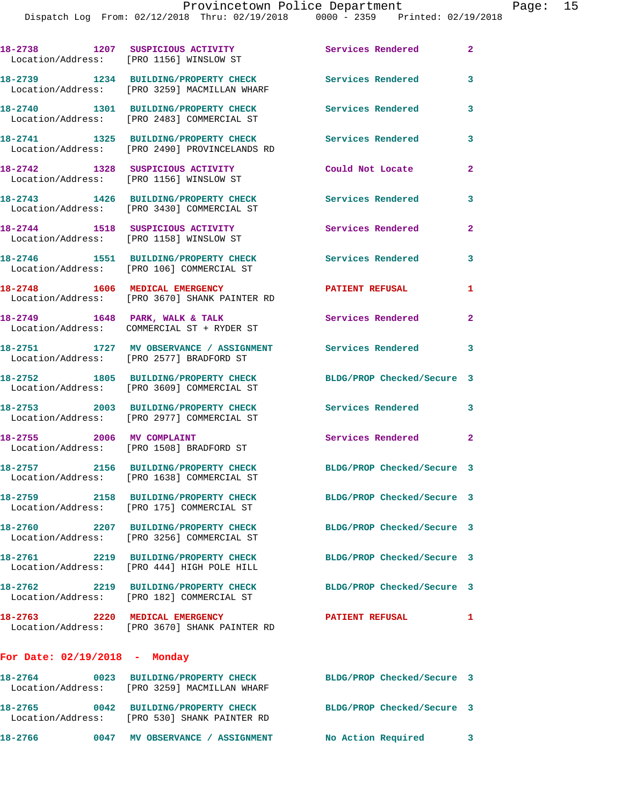|                                                                             | 18-2738 1207 SUSPICIOUS ACTIVITY<br>Location/Address: [PRO 1156] WINSLOW ST                           | <b>Services Rendered</b>   | $\mathbf{2}$   |
|-----------------------------------------------------------------------------|-------------------------------------------------------------------------------------------------------|----------------------------|----------------|
|                                                                             | 18-2739 1234 BUILDING/PROPERTY CHECK<br>Location/Address: [PRO 3259] MACMILLAN WHARF                  | <b>Services Rendered</b>   | 3              |
|                                                                             | 18-2740 1301 BUILDING/PROPERTY CHECK<br>Location/Address: [PRO 2483] COMMERCIAL ST                    | Services Rendered          | 3              |
|                                                                             | 18-2741 1325 BUILDING/PROPERTY CHECK<br>Location/Address: [PRO 2490] PROVINCELANDS RD                 | <b>Services Rendered</b>   | 3              |
| 18-2742 1328 SUSPICIOUS ACTIVITY<br>Location/Address: [PRO 1156] WINSLOW ST |                                                                                                       | Could Not Locate           | $\overline{2}$ |
|                                                                             | 18-2743 1426 BUILDING/PROPERTY CHECK<br>Location/Address: [PRO 3430] COMMERCIAL ST                    | Services Rendered          | 3              |
|                                                                             | 18-2744 1518 SUSPICIOUS ACTIVITY<br>Location/Address: [PRO 1158] WINSLOW ST                           | Services Rendered          | $\mathbf{2}$   |
|                                                                             | 18-2746 1551 BUILDING/PROPERTY CHECK<br>Location/Address: [PRO 106] COMMERCIAL ST                     | Services Rendered          | 3              |
| 18-2748 1606 MEDICAL EMERGENCY                                              | Location/Address: [PRO 3670] SHANK PAINTER RD                                                         | <b>PATIENT REFUSAL</b>     | 1              |
|                                                                             | 18-2749 1648 PARK, WALK & TALK<br>Location/Address: COMMERCIAL ST + RYDER ST                          | Services Rendered          | $\mathbf{2}$   |
|                                                                             | 18-2751 1727 MV OBSERVANCE / ASSIGNMENT Services Rendered<br>Location/Address: [PRO 2577] BRADFORD ST |                            | 3              |
|                                                                             | 18-2752 1805 BUILDING/PROPERTY CHECK<br>Location/Address: [PRO 3609] COMMERCIAL ST                    | BLDG/PROP Checked/Secure 3 |                |
|                                                                             | 18-2753 2003 BUILDING/PROPERTY CHECK<br>Location/Address: [PRO 2977] COMMERCIAL ST                    | <b>Services Rendered</b>   | 3              |
| 18-2755 2006 MV COMPLAINT                                                   | Location/Address: [PRO 1508] BRADFORD ST                                                              | Services Rendered 2        |                |
|                                                                             | 18-2757 2156 BUILDING/PROPERTY CHECK<br>Location/Address: [PRO 1638] COMMERCIAL ST                    | BLDG/PROP Checked/Secure 3 |                |
|                                                                             | 18-2759 2158 BUILDING/PROPERTY CHECK<br>Location/Address: [PRO 175] COMMERCIAL ST                     | BLDG/PROP Checked/Secure 3 |                |
|                                                                             | 18-2760 2207 BUILDING/PROPERTY CHECK<br>Location/Address: [PRO 3256] COMMERCIAL ST                    | BLDG/PROP Checked/Secure 3 |                |
|                                                                             | 18-2761 2219 BUILDING/PROPERTY CHECK<br>Location/Address: [PRO 444] HIGH POLE HILL                    | BLDG/PROP Checked/Secure 3 |                |
|                                                                             | 18-2762 2219 BUILDING/PROPERTY CHECK<br>Location/Address: [PRO 182] COMMERCIAL ST                     | BLDG/PROP Checked/Secure 3 |                |
|                                                                             | 18-2763 2220 MEDICAL EMERGENCY<br>Location/Address: [PRO 3670] SHANK PAINTER RD                       | <b>PATIENT REFUSAL</b>     | 1              |
| For Date: $02/19/2018$ - Monday                                             |                                                                                                       |                            |                |
|                                                                             | 18-2764 0023 BUILDING/PROPERTY CHECK<br>Location/Address: [PRO 3259] MACMILLAN WHARF                  | BLDG/PROP Checked/Secure 3 |                |
|                                                                             | 18-2765 0042 BUILDING/PROPERTY CHECK<br>Location/Address: [PRO 530] SHANK PAINTER RD                  | BLDG/PROP Checked/Secure 3 |                |

**18-2766 0047 MV OBSERVANCE / ASSIGNMENT No Action Required 3**